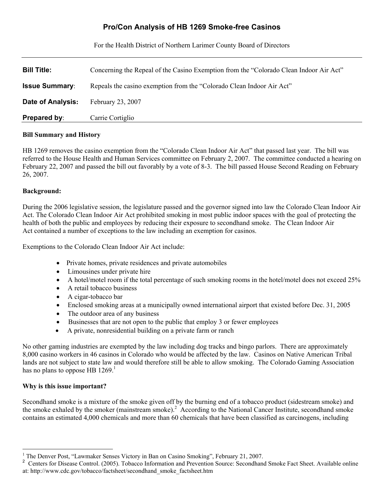# **Pro/Con Analysis of HB 1269 Smoke-free Casinos**

For the Health District of Northern Larimer County Board of Directors

| <b>Bill Title:</b>       | Concerning the Repeal of the Casino Exemption from the "Colorado Clean Indoor Air Act" |
|--------------------------|----------------------------------------------------------------------------------------|
| <b>Issue Summary:</b>    | Repeals the casino exemption from the "Colorado Clean Indoor Air Act"                  |
| <b>Date of Analysis:</b> | February 23, 2007                                                                      |
| <b>Prepared by:</b>      | Carrie Cortiglio                                                                       |

## **Bill Summary and History**

HB 1269 removes the casino exemption from the "Colorado Clean Indoor Air Act" that passed last year. The bill was referred to the House Health and Human Services committee on February 2, 2007. The committee conducted a hearing on February 22, 2007 and passed the bill out favorably by a vote of 8-3. The bill passed House Second Reading on February 26, 2007.

## **Background:**

During the 2006 legislative session, the legislature passed and the governor signed into law the Colorado Clean Indoor Air Act. The Colorado Clean Indoor Air Act prohibited smoking in most public indoor spaces with the goal of protecting the health of both the public and employees by reducing their exposure to secondhand smoke. The Clean Indoor Air Act contained a number of exceptions to the law including an exemption for casinos.

Exemptions to the Colorado Clean Indoor Air Act include:

- Private homes, private residences and private automobiles
- Limousines under private hire
- A hotel/motel room if the total percentage of such smoking rooms in the hotel/motel does not exceed  $25\%$
- A retail tobacco business
- A cigar-tobacco bar
- Enclosed smoking areas at a municipally owned international airport that existed before Dec. 31, 2005
- The outdoor area of any business
- Businesses that are not open to the public that employ 3 or fewer employees
- A private, nonresidential building on a private farm or ranch

No other gaming industries are exempted by the law including dog tracks and bingo parlors. There are approximately 8,000 casino workers in 46 casinos in Colorado who would be affected by the law. Casinos on Native American Tribal lands are not subject to state law and would therefore still be able to allow smoking. The Colorado Gaming Association has no plans to oppose HB  $1269$  $1269$ <sup>1</sup>

## **Why is this issue important?**

 $\overline{a}$ 

Secondhand smoke is a mixture of the smoke given off by the burning end of a tobacco product (sidestream smoke) and the smoke exhaled by the smoker (mainstream smoke).<sup>[2](#page-0-1)</sup> According to the National Cancer Institute, secondhand smoke contains an estimated 4,000 chemicals and more than 60 chemicals that have been classified as carcinogens, including

<span id="page-0-0"></span><sup>1</sup> The Denver Post, "Lawmaker Senses Victory in Ban on Casino Smoking", February 21, 2007.

<span id="page-0-1"></span><sup>2</sup> Centers for Disease Control. (2005). Tobacco Information and Prevention Source: Secondhand Smoke Fact Sheet. Available online at: http://www.cdc.gov/tobacco/factsheet/secondhand\_smoke\_factsheet.htm